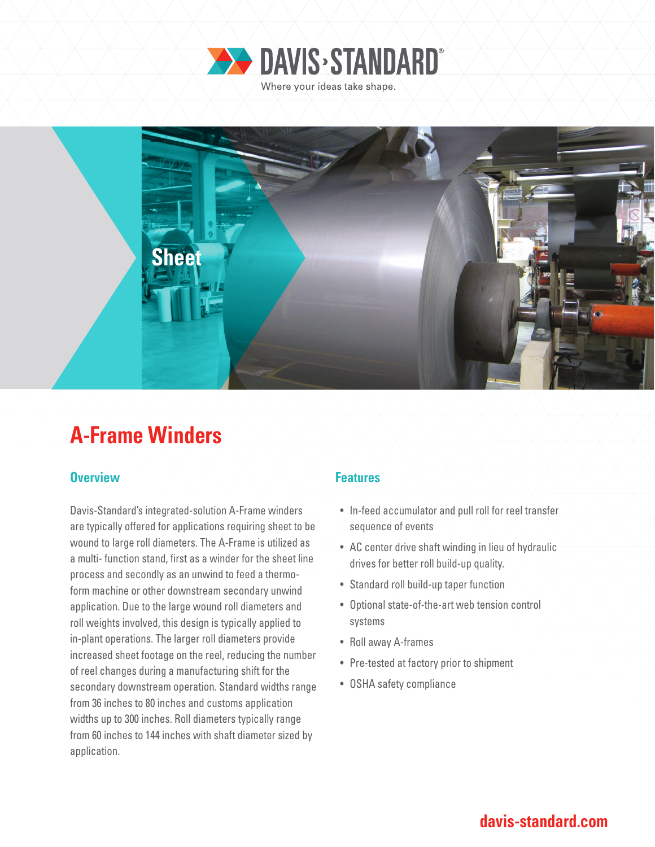



# **A-Frame Winders**

### **Overview Allen Accept Accept Accept Accept Features**

Davis-Standard's integrated-solution A-Frame winders are typically offered for applications requiring sheet to be wound to large roll diameters. The A-Frame is utilized as a multi- function stand, first as a winder for the sheet line process and secondly as an unwind to feed a thermoform machine or other downstream secondary unwind application. Due to the large wound roll diameters and roll weights involved, this design is typically applied to in-plant operations. The larger roll diameters provide increased sheet footage on the reel, reducing the number of reel changes during a manufacturing shift for the secondary downstream operation. Standard widths range from 36 inches to 80 inches and customs application widths up to 300 inches. Roll diameters typically range from 60 inches to 144 inches with shaft diameter sized by application.

- In-feed accumulator and pull roll for reel transfer sequence of events
- AC center drive shaft winding in lieu of hydraulic drives for better roll build-up quality.
- Standard roll build-up taper function
- Optional state-of-the-art web tension control systems
- Roll away A-frames
- Pre-tested at factory prior to shipment
- OSHA safety compliance

### **davis-standard.com**